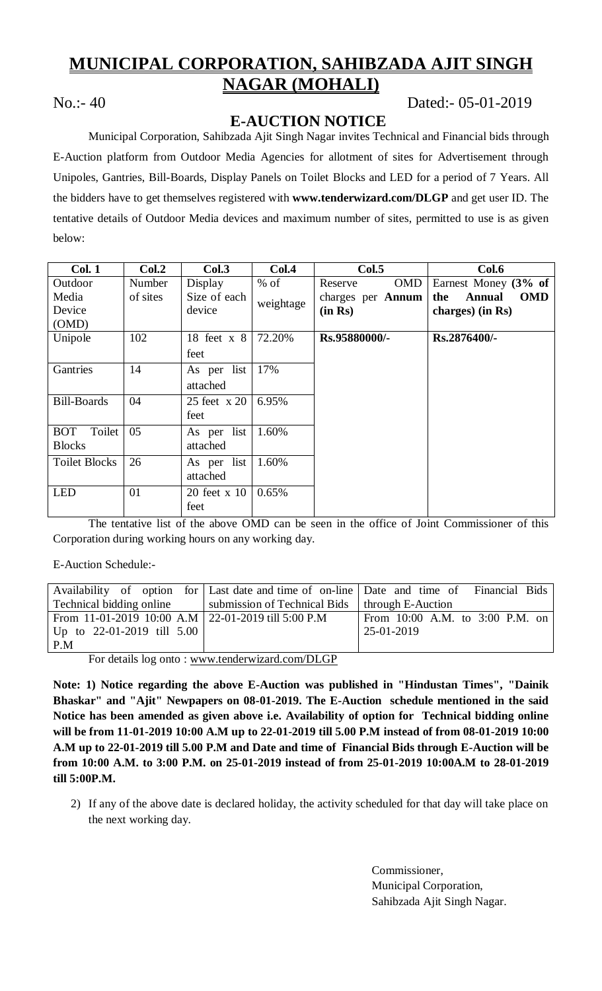# **MUNICIPAL CORPORATION, SAHIBZADA AJIT SINGH NAGAR (MOHALI)**

# No.:- 40 Dated:- 05-01-2019

# **E-AUCTION NOTICE**

Municipal Corporation, Sahibzada Ajit Singh Nagar invites Technical and Financial bids through E-Auction platform from Outdoor Media Agencies for allotment of sites for Advertisement through Unipoles, Gantries, Bill-Boards, Display Panels on Toilet Blocks and LED for a period of 7 Years. All the bidders have to get themselves registered with **www.tenderwizard.com/DLGP** and get user ID. The tentative details of Outdoor Media devices and maximum number of sites, permitted to use is as given below:

| <b>Col. 1</b>        | Col.2    | Col.3                       | Col.4     | Col.5                 | Col.6                              |
|----------------------|----------|-----------------------------|-----------|-----------------------|------------------------------------|
| Outdoor              | Number   | Display                     | $%$ of    | <b>OMD</b><br>Reserve | Earnest Money $(3\% \text{ of }$   |
| Media                | of sites | Size of each                | weightage | charges per Annum     | the<br><b>Annual</b><br><b>OMD</b> |
| Device               |          | device                      |           | (in Rs)               | charges) (in Rs)                   |
| (OMD)                |          |                             |           |                       |                                    |
| Unipole              | 102      | 18 feet $x$ 8               | 72.20%    | Rs.95880000/-         | Rs.2876400/-                       |
|                      |          | feet                        |           |                       |                                    |
| Gantries             | 14       | As per list                 | 17%       |                       |                                    |
|                      |          | attached                    |           |                       |                                    |
| <b>Bill-Boards</b>   | 04       | 25 feet x 20                | 6.95%     |                       |                                    |
|                      |          | feet                        |           |                       |                                    |
| Toilet<br><b>BOT</b> | 05       | As per list                 | 1.60%     |                       |                                    |
| <b>Blocks</b>        |          | attached                    |           |                       |                                    |
| <b>Toilet Blocks</b> | 26       | As per list                 | 1.60%     |                       |                                    |
|                      |          | attached                    |           |                       |                                    |
| <b>LED</b>           | 01       | $20 \text{ feet} \times 10$ | 0.65%     |                       |                                    |
|                      |          | feet                        |           |                       |                                    |

The tentative list of the above OMD can be seen in the office of Joint Commissioner of this Corporation during working hours on any working day.

E-Auction Schedule:-

|                                                      |                                                  | Availability of option for Last date and time of on-line Date and time of Financial Bids |  |  |
|------------------------------------------------------|--------------------------------------------------|------------------------------------------------------------------------------------------|--|--|
| Technical bidding online                             | submission of Technical Bids   through E-Auction |                                                                                          |  |  |
| From 11-01-2019 10:00 A.M   22-01-2019 till 5:00 P.M |                                                  | From 10:00 A.M. to 3:00 P.M. on                                                          |  |  |
| Up to $22-01-2019$ till $5.00$                       |                                                  | 25-01-2019                                                                               |  |  |
| P.M                                                  |                                                  |                                                                                          |  |  |

For details log onto : www.tenderwizard.com/DLGP

**Note: 1) Notice regarding the above E-Auction was published in "Hindustan Times", "Dainik Bhaskar" and "Ajit" Newpapers on 08-01-2019. The E-Auction schedule mentioned in the said Notice has been amended as given above i.e. Availability of option for Technical bidding online will be from 11-01-2019 10:00 A.M up to 22-01-2019 till 5.00 P.M instead of from 08-01-2019 10:00 A.M up to 22-01-2019 till 5.00 P.M and Date and time of Financial Bids through E-Auction will be from 10:00 A.M. to 3:00 P.M. on 25-01-2019 instead of from 25-01-2019 10:00A.M to 28-01-2019 till 5:00P.M.**

2) If any of the above date is declared holiday, the activity scheduled for that day will take place on the next working day.

> Commissioner, Municipal Corporation, Sahibzada Ajit Singh Nagar.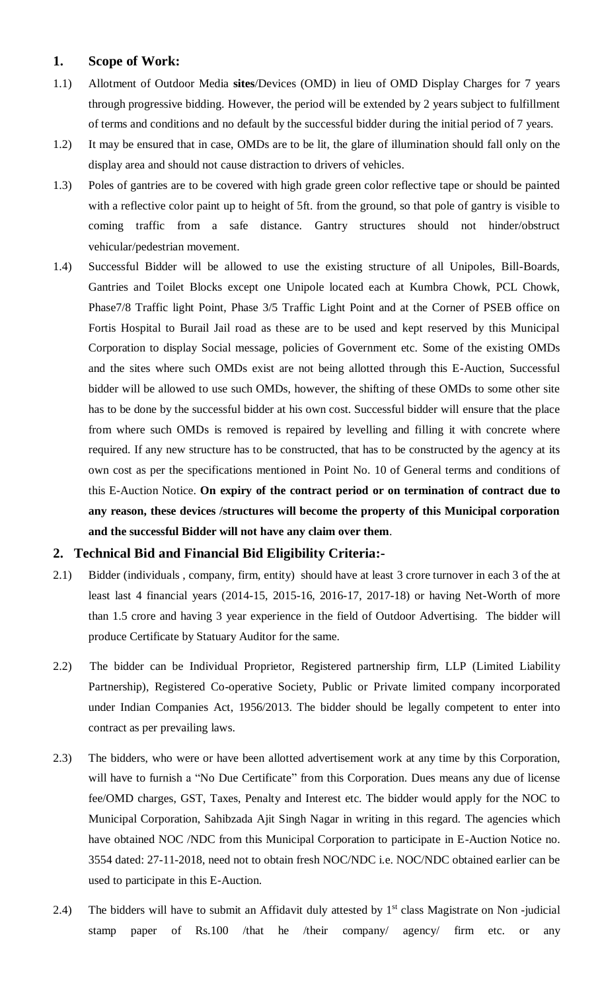# **1. Scope of Work:**

- 1.1) Allotment of Outdoor Media **sites**/Devices (OMD) in lieu of OMD Display Charges for 7 years through progressive bidding. However, the period will be extended by 2 years subject to fulfillment of terms and conditions and no default by the successful bidder during the initial period of 7 years.
- 1.2) It may be ensured that in case, OMDs are to be lit, the glare of illumination should fall only on the display area and should not cause distraction to drivers of vehicles.
- 1.3) Poles of gantries are to be covered with high grade green color reflective tape or should be painted with a reflective color paint up to height of 5ft. from the ground, so that pole of gantry is visible to coming traffic from a safe distance. Gantry structures should not hinder/obstruct vehicular/pedestrian movement.
- 1.4) Successful Bidder will be allowed to use the existing structure of all Unipoles, Bill-Boards, Gantries and Toilet Blocks except one Unipole located each at Kumbra Chowk, PCL Chowk, Phase7/8 Traffic light Point, Phase 3/5 Traffic Light Point and at the Corner of PSEB office on Fortis Hospital to Burail Jail road as these are to be used and kept reserved by this Municipal Corporation to display Social message, policies of Government etc. Some of the existing OMDs and the sites where such OMDs exist are not being allotted through this E-Auction, Successful bidder will be allowed to use such OMDs, however, the shifting of these OMDs to some other site has to be done by the successful bidder at his own cost. Successful bidder will ensure that the place from where such OMDs is removed is repaired by levelling and filling it with concrete where required. If any new structure has to be constructed, that has to be constructed by the agency at its own cost as per the specifications mentioned in Point No. 10 of General terms and conditions of this E-Auction Notice. **On expiry of the contract period or on termination of contract due to any reason, these devices /structures will become the property of this Municipal corporation and the successful Bidder will not have any claim over them**.

## **2. Technical Bid and Financial Bid Eligibility Criteria:-**

- 2.1) Bidder (individuals , company, firm, entity) should have at least 3 crore turnover in each 3 of the at least last 4 financial years (2014-15, 2015-16, 2016-17, 2017-18) or having Net-Worth of more than 1.5 crore and having 3 year experience in the field of Outdoor Advertising. The bidder will produce Certificate by Statuary Auditor for the same.
- 2.2) The bidder can be Individual Proprietor, Registered partnership firm, LLP (Limited Liability Partnership), Registered Co-operative Society, Public or Private limited company incorporated under Indian Companies Act, 1956/2013. The bidder should be legally competent to enter into contract as per prevailing laws.
- 2.3) The bidders, who were or have been allotted advertisement work at any time by this Corporation, will have to furnish a "No Due Certificate" from this Corporation. Dues means any due of license fee/OMD charges, GST, Taxes, Penalty and Interest etc. The bidder would apply for the NOC to Municipal Corporation, Sahibzada Ajit Singh Nagar in writing in this regard. The agencies which have obtained NOC /NDC from this Municipal Corporation to participate in E-Auction Notice no. 3554 dated: 27-11-2018, need not to obtain fresh NOC/NDC i.e. NOC/NDC obtained earlier can be used to participate in this E-Auction.
- 2.4) The bidders will have to submit an Affidavit duly attested by  $1<sup>st</sup>$  class Magistrate on Non-judicial stamp paper of Rs.100 /that he /their company/ agency/ firm etc. or any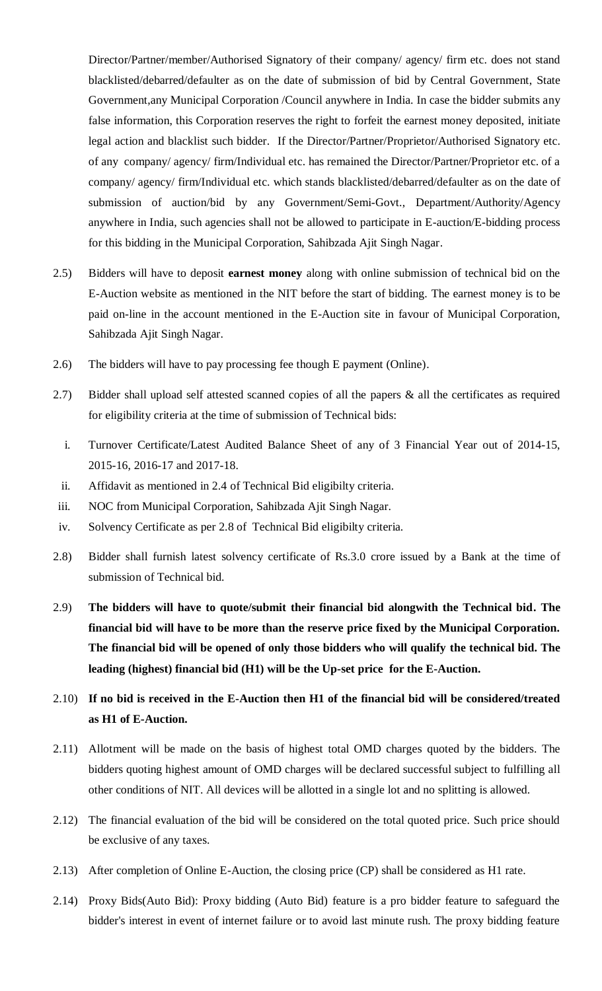Director/Partner/member/Authorised Signatory of their company/ agency/ firm etc. does not stand blacklisted/debarred/defaulter as on the date of submission of bid by Central Government, State Government,any Municipal Corporation /Council anywhere in India. In case the bidder submits any false information, this Corporation reserves the right to forfeit the earnest money deposited, initiate legal action and blacklist such bidder. If the Director/Partner/Proprietor/Authorised Signatory etc. of any company/ agency/ firm/Individual etc. has remained the Director/Partner/Proprietor etc. of a company/ agency/ firm/Individual etc. which stands blacklisted/debarred/defaulter as on the date of submission of auction/bid by any Government/Semi-Govt., Department/Authority/Agency anywhere in India, such agencies shall not be allowed to participate in E-auction/E-bidding process for this bidding in the Municipal Corporation, Sahibzada Ajit Singh Nagar.

- 2.5) Bidders will have to deposit **earnest money** along with online submission of technical bid on the E-Auction website as mentioned in the NIT before the start of bidding. The earnest money is to be paid on-line in the account mentioned in the E-Auction site in favour of Municipal Corporation, Sahibzada Ajit Singh Nagar.
- 2.6) The bidders will have to pay processing fee though E payment (Online).
- 2.7) Bidder shall upload self attested scanned copies of all the papers & all the certificates as required for eligibility criteria at the time of submission of Technical bids:
	- i. Turnover Certificate/Latest Audited Balance Sheet of any of 3 Financial Year out of 2014-15, 2015-16, 2016-17 and 2017-18.
- ii. Affidavit as mentioned in 2.4 of Technical Bid eligibilty criteria.
- iii. NOC from Municipal Corporation, Sahibzada Ajit Singh Nagar.
- iv. Solvency Certificate as per 2.8 of Technical Bid eligibilty criteria.
- 2.8) Bidder shall furnish latest solvency certificate of Rs.3.0 crore issued by a Bank at the time of submission of Technical bid.
- 2.9) **The bidders will have to quote/submit their financial bid alongwith the Technical bid. The financial bid will have to be more than the reserve price fixed by the Municipal Corporation. The financial bid will be opened of only those bidders who will qualify the technical bid. The leading (highest) financial bid (H1) will be the Up-set price for the E-Auction.**
- 2.10) **If no bid is received in the E-Auction then H1 of the financial bid will be considered/treated as H1 of E-Auction.**
- 2.11) Allotment will be made on the basis of highest total OMD charges quoted by the bidders. The bidders quoting highest amount of OMD charges will be declared successful subject to fulfilling all other conditions of NIT. All devices will be allotted in a single lot and no splitting is allowed.
- 2.12) The financial evaluation of the bid will be considered on the total quoted price. Such price should be exclusive of any taxes.
- 2.13) After completion of Online E-Auction, the closing price (CP) shall be considered as H1 rate.
- 2.14) Proxy Bids(Auto Bid): Proxy bidding (Auto Bid) feature is a pro bidder feature to safeguard the bidder's interest in event of internet failure or to avoid last minute rush. The proxy bidding feature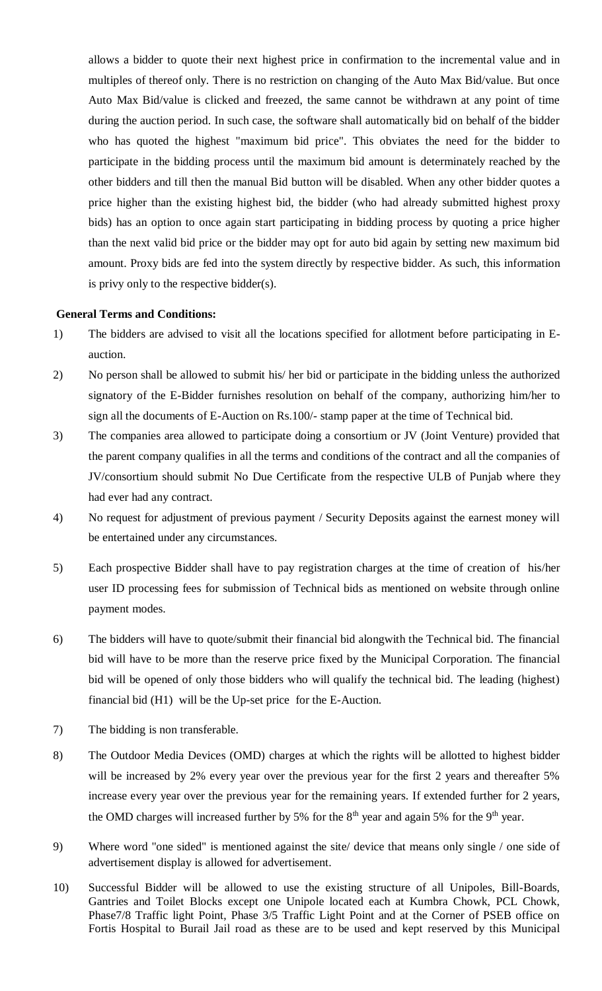allows a bidder to quote their next highest price in confirmation to the incremental value and in multiples of thereof only. There is no restriction on changing of the Auto Max Bid/value. But once Auto Max Bid/value is clicked and freezed, the same cannot be withdrawn at any point of time during the auction period. In such case, the software shall automatically bid on behalf of the bidder who has quoted the highest "maximum bid price". This obviates the need for the bidder to participate in the bidding process until the maximum bid amount is determinately reached by the other bidders and till then the manual Bid button will be disabled. When any other bidder quotes a price higher than the existing highest bid, the bidder (who had already submitted highest proxy bids) has an option to once again start participating in bidding process by quoting a price higher than the next valid bid price or the bidder may opt for auto bid again by setting new maximum bid amount. Proxy bids are fed into the system directly by respective bidder. As such, this information is privy only to the respective bidder(s).

#### **General Terms and Conditions:**

- 1) The bidders are advised to visit all the locations specified for allotment before participating in Eauction.
- 2) No person shall be allowed to submit his/ her bid or participate in the bidding unless the authorized signatory of the E-Bidder furnishes resolution on behalf of the company, authorizing him/her to sign all the documents of E-Auction on Rs.100/- stamp paper at the time of Technical bid.
- 3) The companies area allowed to participate doing a consortium or JV (Joint Venture) provided that the parent company qualifies in all the terms and conditions of the contract and all the companies of JV/consortium should submit No Due Certificate from the respective ULB of Punjab where they had ever had any contract.
- 4) No request for adjustment of previous payment / Security Deposits against the earnest money will be entertained under any circumstances.
- 5) Each prospective Bidder shall have to pay registration charges at the time of creation of his/her user ID processing fees for submission of Technical bids as mentioned on website through online payment modes.
- 6) The bidders will have to quote/submit their financial bid alongwith the Technical bid. The financial bid will have to be more than the reserve price fixed by the Municipal Corporation. The financial bid will be opened of only those bidders who will qualify the technical bid. The leading (highest) financial bid (H1) will be the Up-set price for the E-Auction.
- 7) The bidding is non transferable.
- 8) The Outdoor Media Devices (OMD) charges at which the rights will be allotted to highest bidder will be increased by 2% every year over the previous year for the first 2 years and thereafter 5% increase every year over the previous year for the remaining years. If extended further for 2 years, the OMD charges will increased further by 5% for the  $8<sup>th</sup>$  year and again 5% for the 9<sup>th</sup> year.
- 9) Where word "one sided" is mentioned against the site/ device that means only single / one side of advertisement display is allowed for advertisement.
- 10) Successful Bidder will be allowed to use the existing structure of all Unipoles, Bill-Boards, Gantries and Toilet Blocks except one Unipole located each at Kumbra Chowk, PCL Chowk, Phase7/8 Traffic light Point, Phase 3/5 Traffic Light Point and at the Corner of PSEB office on Fortis Hospital to Burail Jail road as these are to be used and kept reserved by this Municipal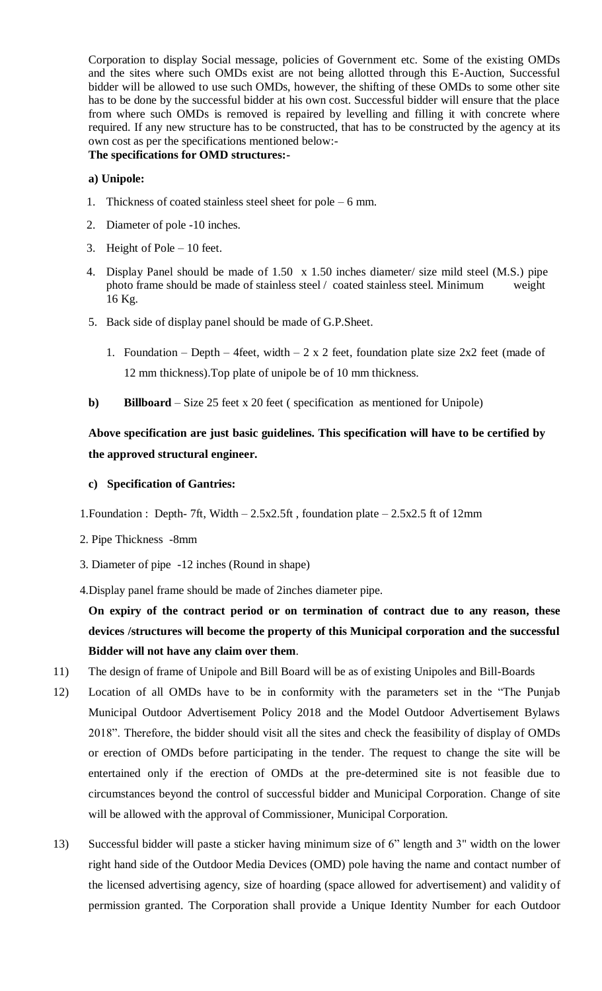Corporation to display Social message, policies of Government etc. Some of the existing OMDs and the sites where such OMDs exist are not being allotted through this E-Auction, Successful bidder will be allowed to use such OMDs, however, the shifting of these OMDs to some other site has to be done by the successful bidder at his own cost. Successful bidder will ensure that the place from where such OMDs is removed is repaired by levelling and filling it with concrete where required. If any new structure has to be constructed, that has to be constructed by the agency at its own cost as per the specifications mentioned below:-

## **The specifications for OMD structures:-**

## **a) Unipole:**

- 1. Thickness of coated stainless steel sheet for pole 6 mm.
- 2. Diameter of pole -10 inches.
- 3. Height of Pole 10 feet.
- 4. Display Panel should be made of 1.50 x 1.50 inches diameter/ size mild steel (M.S.) pipe photo frame should be made of stainless steel / coated stainless steel. Minimum weight 16 Kg.
- 5. Back side of display panel should be made of G.P.Sheet.
	- 1. Foundation Depth 4feet, width 2 x 2 feet, foundation plate size  $2x^2$  feet (made of 12 mm thickness).Top plate of unipole be of 10 mm thickness.
- **b) Billboard** Size 25 feet x 20 feet ( specification as mentioned for Unipole)

# **Above specification are just basic guidelines. This specification will have to be certified by the approved structural engineer.**

## **c) Specification of Gantries:**

- 1.Foundation : Depth- 7ft, Width 2.5x2.5ft , foundation plate 2.5x2.5 ft of 12mm
- 2. Pipe Thickness -8mm
- 3. Diameter of pipe -12 inches (Round in shape)
- 4.Display panel frame should be made of 2inches diameter pipe.

**On expiry of the contract period or on termination of contract due to any reason, these devices /structures will become the property of this Municipal corporation and the successful Bidder will not have any claim over them**.

- 11) The design of frame of Unipole and Bill Board will be as of existing Unipoles and Bill-Boards
- 12) Location of all OMDs have to be in conformity with the parameters set in the "The Punjab Municipal Outdoor Advertisement Policy 2018 and the Model Outdoor Advertisement Bylaws 2018". Therefore, the bidder should visit all the sites and check the feasibility of display of OMDs or erection of OMDs before participating in the tender. The request to change the site will be entertained only if the erection of OMDs at the pre-determined site is not feasible due to circumstances beyond the control of successful bidder and Municipal Corporation. Change of site will be allowed with the approval of Commissioner, Municipal Corporation.
- 13) Successful bidder will paste a sticker having minimum size of 6" length and 3" width on the lower right hand side of the Outdoor Media Devices (OMD) pole having the name and contact number of the licensed advertising agency, size of hoarding (space allowed for advertisement) and validity of permission granted. The Corporation shall provide a Unique Identity Number for each Outdoor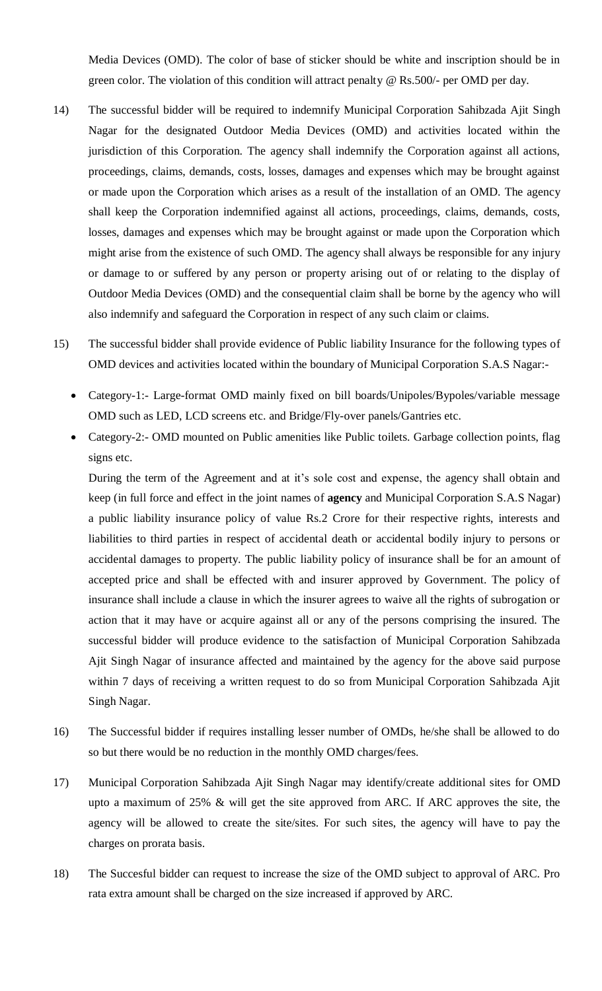Media Devices (OMD). The color of base of sticker should be white and inscription should be in green color. The violation of this condition will attract penalty @ Rs.500/- per OMD per day.

- 14) The successful bidder will be required to indemnify Municipal Corporation Sahibzada Ajit Singh Nagar for the designated Outdoor Media Devices (OMD) and activities located within the jurisdiction of this Corporation. The agency shall indemnify the Corporation against all actions, proceedings, claims, demands, costs, losses, damages and expenses which may be brought against or made upon the Corporation which arises as a result of the installation of an OMD. The agency shall keep the Corporation indemnified against all actions, proceedings, claims, demands, costs, losses, damages and expenses which may be brought against or made upon the Corporation which might arise from the existence of such OMD. The agency shall always be responsible for any injury or damage to or suffered by any person or property arising out of or relating to the display of Outdoor Media Devices (OMD) and the consequential claim shall be borne by the agency who will also indemnify and safeguard the Corporation in respect of any such claim or claims.
- 15) The successful bidder shall provide evidence of Public liability Insurance for the following types of OMD devices and activities located within the boundary of Municipal Corporation S.A.S Nagar:-
	- Category-1:- Large-format OMD mainly fixed on bill boards/Unipoles/Bypoles/variable message OMD such as LED, LCD screens etc. and Bridge/Fly-over panels/Gantries etc.
	- Category-2:- OMD mounted on Public amenities like Public toilets. Garbage collection points, flag signs etc.

During the term of the Agreement and at it's sole cost and expense, the agency shall obtain and keep (in full force and effect in the joint names of **agency** and Municipal Corporation S.A.S Nagar) a public liability insurance policy of value Rs.2 Crore for their respective rights, interests and liabilities to third parties in respect of accidental death or accidental bodily injury to persons or accidental damages to property. The public liability policy of insurance shall be for an amount of accepted price and shall be effected with and insurer approved by Government. The policy of insurance shall include a clause in which the insurer agrees to waive all the rights of subrogation or action that it may have or acquire against all or any of the persons comprising the insured. The successful bidder will produce evidence to the satisfaction of Municipal Corporation Sahibzada Ajit Singh Nagar of insurance affected and maintained by the agency for the above said purpose within 7 days of receiving a written request to do so from Municipal Corporation Sahibzada Ajit Singh Nagar.

- 16) The Successful bidder if requires installing lesser number of OMDs, he/she shall be allowed to do so but there would be no reduction in the monthly OMD charges/fees.
- 17) Municipal Corporation Sahibzada Ajit Singh Nagar may identify/create additional sites for OMD upto a maximum of 25% & will get the site approved from ARC. If ARC approves the site, the agency will be allowed to create the site/sites. For such sites, the agency will have to pay the charges on prorata basis.
- 18) The Succesful bidder can request to increase the size of the OMD subject to approval of ARC. Pro rata extra amount shall be charged on the size increased if approved by ARC.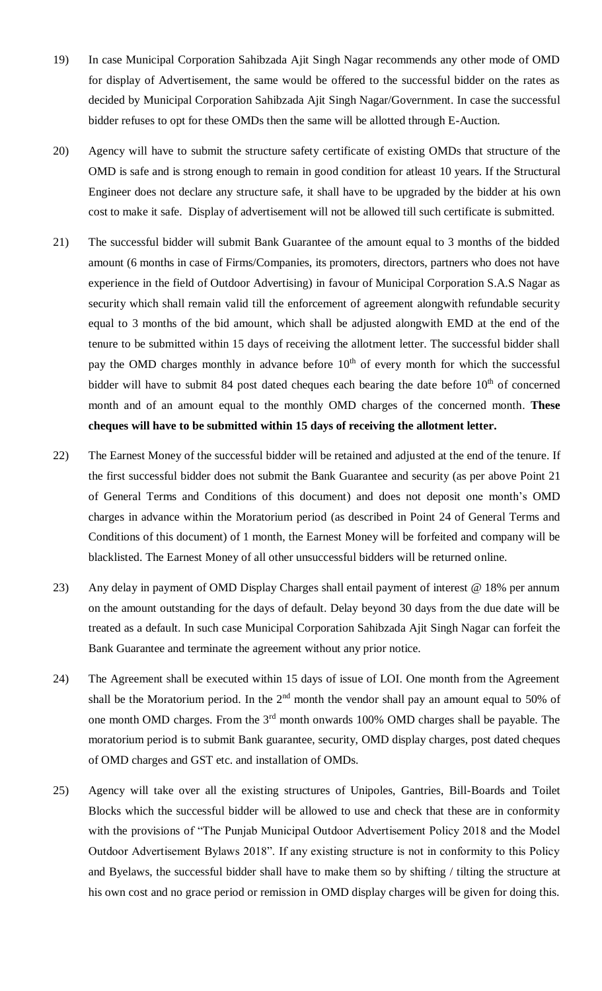- 19) In case Municipal Corporation Sahibzada Ajit Singh Nagar recommends any other mode of OMD for display of Advertisement, the same would be offered to the successful bidder on the rates as decided by Municipal Corporation Sahibzada Ajit Singh Nagar/Government. In case the successful bidder refuses to opt for these OMDs then the same will be allotted through E-Auction.
- 20) Agency will have to submit the structure safety certificate of existing OMDs that structure of the OMD is safe and is strong enough to remain in good condition for atleast 10 years. If the Structural Engineer does not declare any structure safe, it shall have to be upgraded by the bidder at his own cost to make it safe. Display of advertisement will not be allowed till such certificate is submitted.
- 21) The successful bidder will submit Bank Guarantee of the amount equal to 3 months of the bidded amount (6 months in case of Firms/Companies, its promoters, directors, partners who does not have experience in the field of Outdoor Advertising) in favour of Municipal Corporation S.A.S Nagar as security which shall remain valid till the enforcement of agreement alongwith refundable security equal to 3 months of the bid amount, which shall be adjusted alongwith EMD at the end of the tenure to be submitted within 15 days of receiving the allotment letter. The successful bidder shall pay the OMD charges monthly in advance before  $10<sup>th</sup>$  of every month for which the successful bidder will have to submit 84 post dated cheques each bearing the date before  $10<sup>th</sup>$  of concerned month and of an amount equal to the monthly OMD charges of the concerned month. **These cheques will have to be submitted within 15 days of receiving the allotment letter.**
- 22) The Earnest Money of the successful bidder will be retained and adjusted at the end of the tenure. If the first successful bidder does not submit the Bank Guarantee and security (as per above Point 21 of General Terms and Conditions of this document) and does not deposit one month's OMD charges in advance within the Moratorium period (as described in Point 24 of General Terms and Conditions of this document) of 1 month, the Earnest Money will be forfeited and company will be blacklisted. The Earnest Money of all other unsuccessful bidders will be returned online.
- 23) Any delay in payment of OMD Display Charges shall entail payment of interest @ 18% per annum on the amount outstanding for the days of default. Delay beyond 30 days from the due date will be treated as a default. In such case Municipal Corporation Sahibzada Ajit Singh Nagar can forfeit the Bank Guarantee and terminate the agreement without any prior notice.
- 24) The Agreement shall be executed within 15 days of issue of LOI. One month from the Agreement shall be the Moratorium period. In the  $2<sup>nd</sup>$  month the vendor shall pay an amount equal to 50% of one month OMD charges. From the 3<sup>rd</sup> month onwards 100% OMD charges shall be payable. The moratorium period is to submit Bank guarantee, security, OMD display charges, post dated cheques of OMD charges and GST etc. and installation of OMDs.
- 25) Agency will take over all the existing structures of Unipoles, Gantries, Bill-Boards and Toilet Blocks which the successful bidder will be allowed to use and check that these are in conformity with the provisions of "The Punjab Municipal Outdoor Advertisement Policy 2018 and the Model Outdoor Advertisement Bylaws 2018". If any existing structure is not in conformity to this Policy and Byelaws, the successful bidder shall have to make them so by shifting / tilting the structure at his own cost and no grace period or remission in OMD display charges will be given for doing this.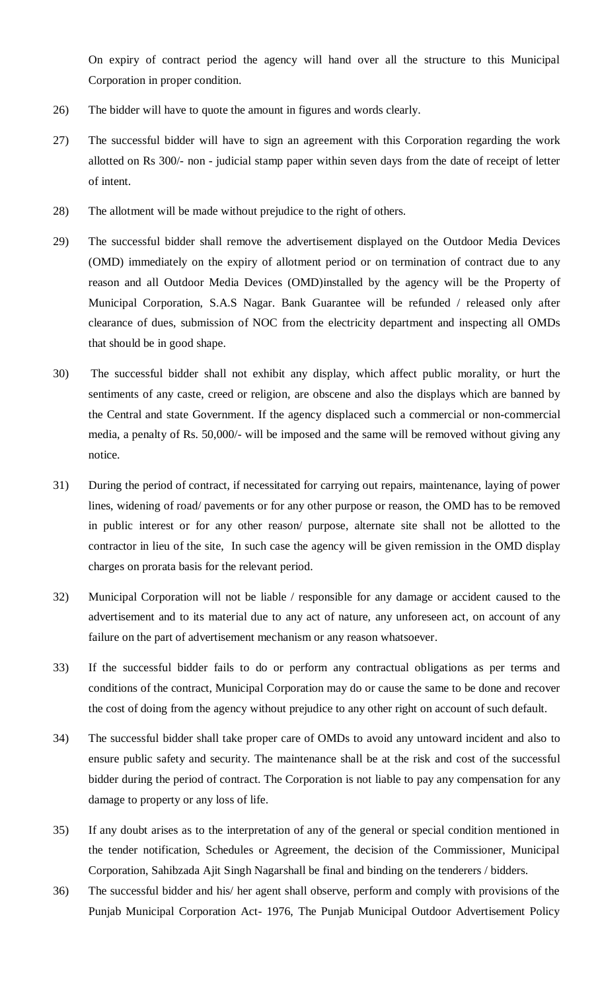On expiry of contract period the agency will hand over all the structure to this Municipal Corporation in proper condition.

- 26) The bidder will have to quote the amount in figures and words clearly.
- 27) The successful bidder will have to sign an agreement with this Corporation regarding the work allotted on Rs 300/- non - judicial stamp paper within seven days from the date of receipt of letter of intent.
- 28) The allotment will be made without prejudice to the right of others.
- 29) The successful bidder shall remove the advertisement displayed on the Outdoor Media Devices (OMD) immediately on the expiry of allotment period or on termination of contract due to any reason and all Outdoor Media Devices (OMD)installed by the agency will be the Property of Municipal Corporation, S.A.S Nagar. Bank Guarantee will be refunded / released only after clearance of dues, submission of NOC from the electricity department and inspecting all OMDs that should be in good shape.
- 30) The successful bidder shall not exhibit any display, which affect public morality, or hurt the sentiments of any caste, creed or religion, are obscene and also the displays which are banned by the Central and state Government. If the agency displaced such a commercial or non-commercial media, a penalty of Rs. 50,000/- will be imposed and the same will be removed without giving any notice.
- 31) During the period of contract, if necessitated for carrying out repairs, maintenance, laying of power lines, widening of road/ pavements or for any other purpose or reason, the OMD has to be removed in public interest or for any other reason/ purpose, alternate site shall not be allotted to the contractor in lieu of the site, In such case the agency will be given remission in the OMD display charges on prorata basis for the relevant period.
- 32) Municipal Corporation will not be liable / responsible for any damage or accident caused to the advertisement and to its material due to any act of nature, any unforeseen act, on account of any failure on the part of advertisement mechanism or any reason whatsoever.
- 33) If the successful bidder fails to do or perform any contractual obligations as per terms and conditions of the contract, Municipal Corporation may do or cause the same to be done and recover the cost of doing from the agency without prejudice to any other right on account of such default.
- 34) The successful bidder shall take proper care of OMDs to avoid any untoward incident and also to ensure public safety and security. The maintenance shall be at the risk and cost of the successful bidder during the period of contract. The Corporation is not liable to pay any compensation for any damage to property or any loss of life.
- 35) If any doubt arises as to the interpretation of any of the general or special condition mentioned in the tender notification, Schedules or Agreement, the decision of the Commissioner, Municipal Corporation, Sahibzada Ajit Singh Nagarshall be final and binding on the tenderers / bidders.
- 36) The successful bidder and his/ her agent shall observe, perform and comply with provisions of the Punjab Municipal Corporation Act- 1976, The Punjab Municipal Outdoor Advertisement Policy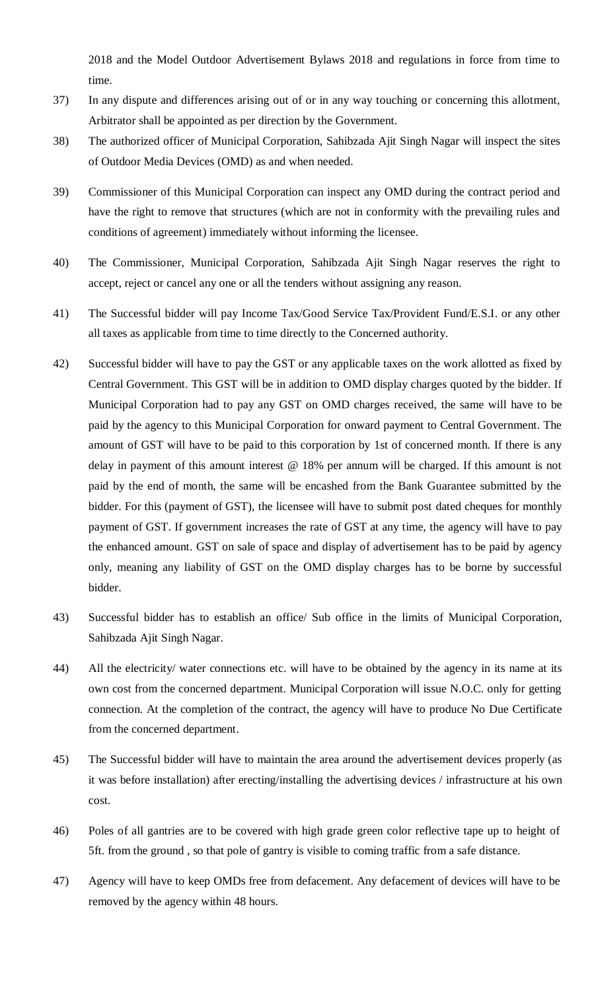2018 and the Model Outdoor Advertisement Bylaws 2018 and regulations in force from time to time.

- 37) In any dispute and differences arising out of or in any way touching or concerning this allotment, Arbitrator shall be appointed as per direction by the Government.
- 38) The authorized officer of Municipal Corporation, Sahibzada Ajit Singh Nagar will inspect the sites of Outdoor Media Devices (OMD) as and when needed.
- 39) Commissioner of this Municipal Corporation can inspect any OMD during the contract period and have the right to remove that structures (which are not in conformity with the prevailing rules and conditions of agreement) immediately without informing the licensee.
- 40) The Commissioner, Municipal Corporation, Sahibzada Ajit Singh Nagar reserves the right to accept, reject or cancel any one or all the tenders without assigning any reason.
- 41) The Successful bidder will pay Income Tax/Good Service Tax/Provident Fund/E.S.I. or any other all taxes as applicable from time to time directly to the Concerned authority.
- 42) Successful bidder will have to pay the GST or any applicable taxes on the work allotted as fixed by Central Government. This GST will be in addition to OMD display charges quoted by the bidder. If Municipal Corporation had to pay any GST on OMD charges received, the same will have to be paid by the agency to this Municipal Corporation for onward payment to Central Government. The amount of GST will have to be paid to this corporation by 1st of concerned month. If there is any delay in payment of this amount interest @ 18% per annum will be charged. If this amount is not paid by the end of month, the same will be encashed from the Bank Guarantee submitted by the bidder. For this (payment of GST), the licensee will have to submit post dated cheques for monthly payment of GST. If government increases the rate of GST at any time, the agency will have to pay the enhanced amount. GST on sale of space and display of advertisement has to be paid by agency only, meaning any liability of GST on the OMD display charges has to be borne by successful bidder.
- 43) Successful bidder has to establish an office/ Sub office in the limits of Municipal Corporation, Sahibzada Ajit Singh Nagar.
- 44) All the electricity/ water connections etc. will have to be obtained by the agency in its name at its own cost from the concerned department. Municipal Corporation will issue N.O.C. only for getting connection. At the completion of the contract, the agency will have to produce No Due Certificate from the concerned department.
- 45) The Successful bidder will have to maintain the area around the advertisement devices properly (as it was before installation) after erecting/installing the advertising devices / infrastructure at his own cost.
- 46) Poles of all gantries are to be covered with high grade green color reflective tape up to height of 5ft. from the ground , so that pole of gantry is visible to coming traffic from a safe distance.
- 47) Agency will have to keep OMDs free from defacement. Any defacement of devices will have to be removed by the agency within 48 hours.